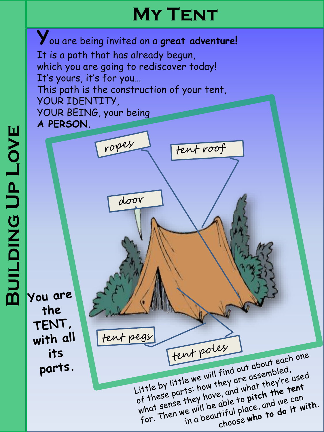# **My Tent**

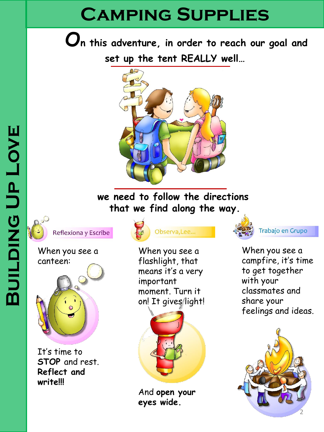# **Camping Supplies**

**On this adventure, in order to reach our goal and set up the tent REALLY well…**



### **we need to follow the directions that we find along the way.**



Reflexiona y Escribe

#### When you see a canteen:



It's time to **STOP** and rest. **Reflect and write!!!** 





When you see a flashlight, that means it's a very important moment. Turn it on! It gives/light!



And **open your eyes wide.**



Trabajo en Grupo

When you see a campfire, it's time to get together with your classmates and share your feelings and ideas.